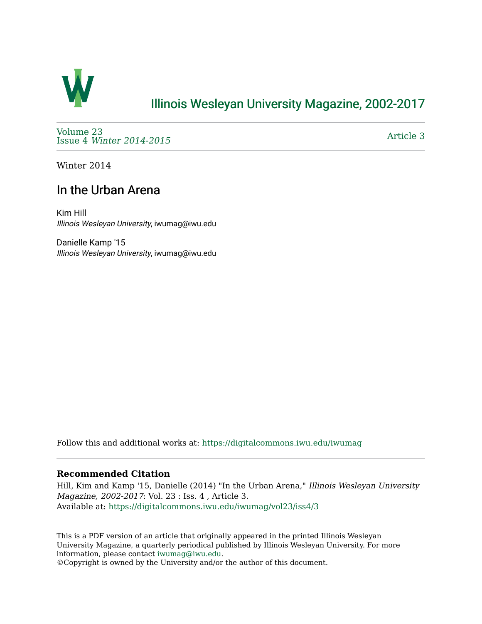

## [Illinois Wesleyan University Magazine, 2002-2017](https://digitalcommons.iwu.edu/iwumag)

[Volume 23](https://digitalcommons.iwu.edu/iwumag/vol23)  Issue 4 [Winter 2014-2015](https://digitalcommons.iwu.edu/iwumag/vol23/iss4)

[Article 3](https://digitalcommons.iwu.edu/iwumag/vol23/iss4/3) 

Winter 2014

## In the Urban Arena

Kim Hill Illinois Wesleyan University, iwumag@iwu.edu

Danielle Kamp '15 Illinois Wesleyan University, iwumag@iwu.edu

Follow this and additional works at: [https://digitalcommons.iwu.edu/iwumag](https://digitalcommons.iwu.edu/iwumag?utm_source=digitalcommons.iwu.edu%2Fiwumag%2Fvol23%2Fiss4%2F3&utm_medium=PDF&utm_campaign=PDFCoverPages) 

## **Recommended Citation**

Hill, Kim and Kamp '15, Danielle (2014) "In the Urban Arena," Illinois Wesleyan University Magazine, 2002-2017: Vol. 23 : Iss. 4 , Article 3. Available at: [https://digitalcommons.iwu.edu/iwumag/vol23/iss4/3](https://digitalcommons.iwu.edu/iwumag/vol23/iss4/3?utm_source=digitalcommons.iwu.edu%2Fiwumag%2Fvol23%2Fiss4%2F3&utm_medium=PDF&utm_campaign=PDFCoverPages)

This is a PDF version of an article that originally appeared in the printed Illinois Wesleyan University Magazine, a quarterly periodical published by Illinois Wesleyan University. For more information, please contact [iwumag@iwu.edu](mailto:iwumag@iwu.edu).

©Copyright is owned by the University and/or the author of this document.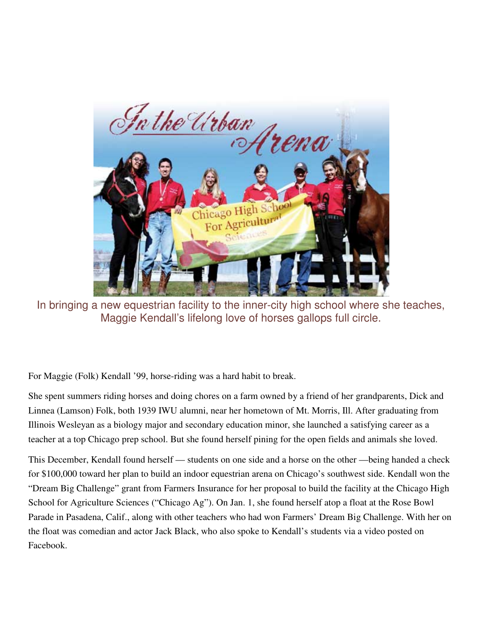

In bringing a new equestrian facility to the inner-city high school where she teaches, Maggie Kendall's lifelong love of horses gallops full circle.

For Maggie (Folk) Kendall '99, horse-riding was a hard habit to break.

She spent summers riding horses and doing chores on a farm owned by a friend of her grandparents, Dick and Linnea (Lamson) Folk, both 1939 IWU alumni, near her hometown of Mt. Morris, Ill. After graduating from Illinois Wesleyan as a biology major and secondary education minor, she launched a satisfying career as a teacher at a top Chicago prep school. But she found herself pining for the open fields and animals she loved.

This December, Kendall found herself — students on one side and a horse on the other —being handed a check for \$100,000 toward her plan to build an indoor equestrian arena on Chicago's southwest side. Kendall won the "Dream Big Challenge" grant from Farmers Insurance for her proposal to build the facility at the Chicago High School for Agriculture Sciences ("Chicago Ag"). On Jan. 1, she found herself atop a float at the Rose Bowl Parade in Pasadena, Calif., along with other teachers who had won Farmers' Dream Big Challenge. With her on the float was comedian and actor Jack Black, who also spoke to Kendall's students via a video posted on Facebook.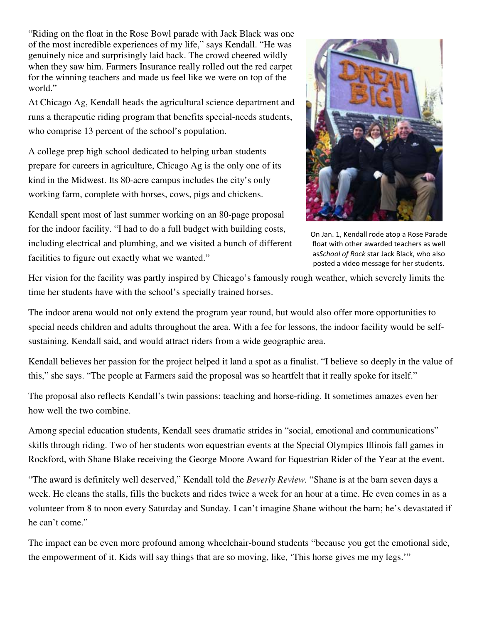"Riding on the float in the Rose Bowl parade with Jack Black was one of the most incredible experiences of my life," says Kendall. "He was genuinely nice and surprisingly laid back. The crowd cheered wildly when they saw him. Farmers Insurance really rolled out the red carpet for the winning teachers and made us feel like we were on top of the world."

At Chicago Ag, Kendall heads the agricultural science department and runs a therapeutic riding program that benefits special-needs students, who comprise 13 percent of the school's population.

A college prep high school dedicated to helping urban students prepare for careers in agriculture, Chicago Ag is the only one of its kind in the Midwest. Its 80-acre campus includes the city's only working farm, complete with horses, cows, pigs and chickens.

Kendall spent most of last summer working on an 80-page proposal for the indoor facility. "I had to do a full budget with building costs, including electrical and plumbing, and we visited a bunch of different facilities to figure out exactly what we wanted."



On Jan. 1, Kendall rode atop a Rose Parade float with other awarded teachers as well asSchool of Rock star Jack Black, who also posted a video message for her students.

Her vision for the facility was partly inspired by Chicago's famously rough weather, which severely limits the time her students have with the school's specially trained horses.

The indoor arena would not only extend the program year round, but would also offer more opportunities to special needs children and adults throughout the area. With a fee for lessons, the indoor facility would be selfsustaining, Kendall said, and would attract riders from a wide geographic area.

Kendall believes her passion for the project helped it land a spot as a finalist. "I believe so deeply in the value of this," she says. "The people at Farmers said the proposal was so heartfelt that it really spoke for itself."

The proposal also reflects Kendall's twin passions: teaching and horse-riding. It sometimes amazes even her how well the two combine.

Among special education students, Kendall sees dramatic strides in "social, emotional and communications" skills through riding. Two of her students won equestrian events at the Special Olympics Illinois fall games in Rockford, with Shane Blake receiving the George Moore Award for Equestrian Rider of the Year at the event.

"The award is definitely well deserved," Kendall told the *Beverly Review.* "Shane is at the barn seven days a week. He cleans the stalls, fills the buckets and rides twice a week for an hour at a time. He even comes in as a volunteer from 8 to noon every Saturday and Sunday. I can't imagine Shane without the barn; he's devastated if he can't come."

The impact can be even more profound among wheelchair-bound students "because you get the emotional side, the empowerment of it. Kids will say things that are so moving, like, 'This horse gives me my legs.'"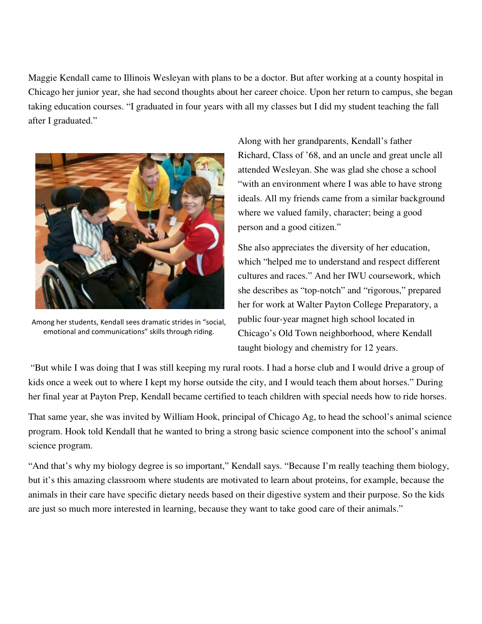Maggie Kendall came to Illinois Wesleyan with plans to be a doctor. But after working at a county hospital in Chicago her junior year, she had second thoughts about her career choice. Upon her return to campus, she began taking education courses. "I graduated in four years with all my classes but I did my student teaching the fall after I graduated."



Among her students, Kendall sees dramatic strides in "social, emotional and communications" skills through riding.

Along with her grandparents, Kendall's father Richard, Class of '68, and an uncle and great uncle all attended Wesleyan. She was glad she chose a school "with an environment where I was able to have strong ideals. All my friends came from a similar background where we valued family, character; being a good person and a good citizen."

She also appreciates the diversity of her education, which "helped me to understand and respect different cultures and races." And her IWU coursework, which she describes as "top-notch" and "rigorous," prepared her for work at Walter Payton College Preparatory, a public four-year magnet high school located in Chicago's Old Town neighborhood, where Kendall taught biology and chemistry for 12 years.

 "But while I was doing that I was still keeping my rural roots. I had a horse club and I would drive a group of kids once a week out to where I kept my horse outside the city, and I would teach them about horses." During her final year at Payton Prep, Kendall became certified to teach children with special needs how to ride horses.

That same year, she was invited by William Hook, principal of Chicago Ag, to head the school's animal science program. Hook told Kendall that he wanted to bring a strong basic science component into the school's animal science program.

"And that's why my biology degree is so important," Kendall says. "Because I'm really teaching them biology, but it's this amazing classroom where students are motivated to learn about proteins, for example, because the animals in their care have specific dietary needs based on their digestive system and their purpose. So the kids are just so much more interested in learning, because they want to take good care of their animals."